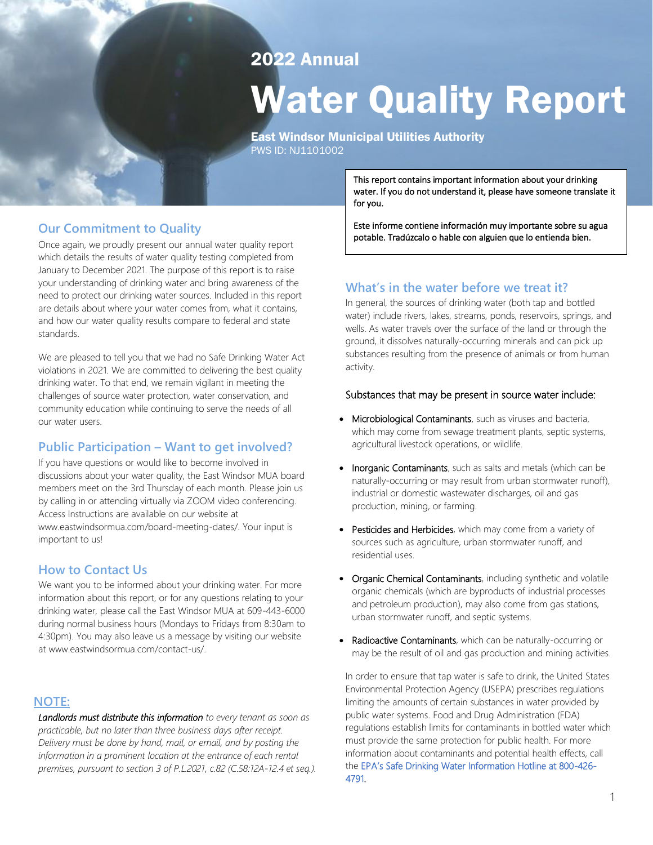## 2022 Annual

# Water Quality Report

East Windsor Municipal Utilities Authority PWS ID: NJ1101002

## **Our Commitment to Quality**

Once again, we proudly present our annual water quality report which details the results of water quality testing completed from January to December 2021. The purpose of this report is to raise your understanding of drinking water and bring awareness of the need to protect our drinking water sources. Included in this report are details about where your water comes from, what it contains, and how our water quality results compare to federal and state standards.

We are pleased to tell you that we had no Safe Drinking Water Act violations in 2021. We are committed to delivering the best quality drinking water. To that end, we remain vigilant in meeting the challenges of source water protection, water conservation, and community education while continuing to serve the needs of all our water users.

## **Public Participation – Want to get involved?**

If you have questions or would like to become involved in discussions about your water quality, the East Windsor MUA board members meet on the 3rd Thursday of each month. Please join us by calling in or attending virtually via ZOOM video conferencing. Access Instructions are available on our website at www.eastwindsormua.com/board-meeting-dates/. Your input is important to us!

### **How to Contact Us**

We want you to be informed about your drinking water. For more information about this report, or for any questions relating to your drinking water, please call the East Windsor MUA at 609-443-6000 during normal business hours (Mondays to Fridays from 8:30am to 4:30pm). You may also leave us a message by visiting our website at www.eastwindsormua.com/contact-us/.

#### **NOTE:**

*Landlords must distribute this information to every tenant as soon as practicable, but no later than three business days after receipt. Delivery must be done by hand, mail, or email, and by posting the information in a prominent location at the entrance of each rental premises, pursuant to section 3 of P.L.2021, c.82 (C.58:12A-12.4 et seq.).* This report contains important information about your drinking water. If you do not understand it, please have someone translate it for you.

Este informe contiene información muy importante sobre su agua potable. Tradúzcalo o hable con alguien que lo entienda bien.

## **What's in the water before we treat it?**

In general, the sources of drinking water (both tap and bottled water) include rivers, lakes, streams, ponds, reservoirs, springs, and wells. As water travels over the surface of the land or through the ground, it dissolves naturally-occurring minerals and can pick up substances resulting from the presence of animals or from human activity.

#### Substances that may be present in source water include:

- Microbiological Contaminants, such as viruses and bacteria, which may come from sewage treatment plants, septic systems, agricultural livestock operations, or wildlife.
- Inorganic Contaminants, such as salts and metals (which can be naturally-occurring or may result from urban stormwater runoff), industrial or domestic wastewater discharges, oil and gas production, mining, or farming.
- Pesticides and Herbicides, which may come from a variety of sources such as agriculture, urban stormwater runoff, and residential uses.
- Organic Chemical Contaminants, including synthetic and volatile organic chemicals (which are byproducts of industrial processes and petroleum production), may also come from gas stations, urban stormwater runoff, and septic systems.
- Radioactive Contaminants, which can be naturally-occurring or may be the result of oil and gas production and mining activities.

In order to ensure that tap water is safe to drink, the United States Environmental Protection Agency (USEPA) prescribes regulations limiting the amounts of certain substances in water provided by public water systems. Food and Drug Administration (FDA) regulations establish limits for contaminants in bottled water which must provide the same protection for public health. For more information about contaminants and potential health effects, call the EPA's Safe Drinking Water Information Hotline at 800-426- 4791.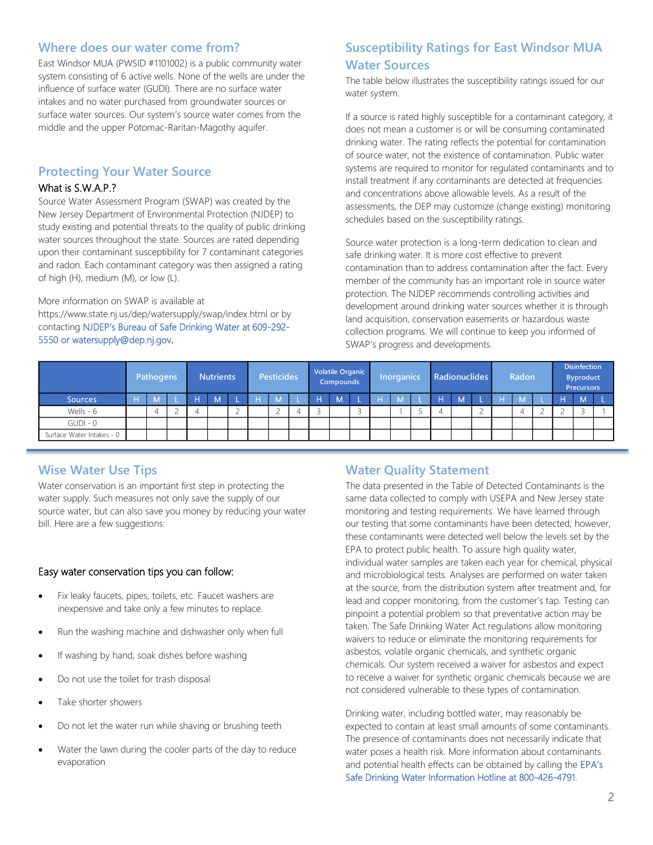### **Where does our water come from?**

East Windsor MUA (PWSID #1101002) is a public community water system consisting of 6 active wells. None of the wells are under the influence of surface water (GUDI). There are no surface water intakes and no water purchased from groundwater sources or surface water sources. Our system's source water comes from the middle and the upper Potomac-Raritan-Magothy aquifer.

## **Protecting Your Water Source**

#### What is S.W.A.P.?

Source Water Assessment Program (SWAP) was created by the New Jersey Department of Environmental Protection (NJDEP) to study existing and potential threats to the quality of public drinking water sources throughout the state. Sources are rated depending upon their contaminant susceptibility for 7 contaminant categories and radon. Each contaminant category was then assigned a rating of high (H), medium (M), or low (L).

#### More information on SWAP is available at

https://www.state.nj.us/dep/watersupply/swap/index.html or by contacting NJDEP's Bureau of Safe Drinking Water at 609-292- 5550 or watersupply@dep.nj.gov.

## **Susceptibility Ratings for East Windsor MUA Water Sources**

The table below illustrates the susceptibility ratings issued for our water system.

If a source is rated highly susceptible for a contaminant category, it does not mean a customer is or will be consuming contaminated drinking water. The rating reflects the potential for contamination of source water, not the existence of contamination. Public water systems are required to monitor for regulated contaminants and to install treatment if any contaminants are detected at frequencies and concentrations above allowable levels. As a result of the assessments, the DEP may customize (change existing) monitoring schedules based on the susceptibility ratings.

Source water protection is a long-term dedication to clean and safe drinking water. It is more cost effective to prevent contamination than to address contamination after the fact. Every member of the community has an important role in source water protection. The NJDEP recommends controlling activities and development around drinking water sources whether it is through land acquisition, conservation easements or hazardous waste collection programs. We will continue to keep you informed of SWAP's progress and developments.

|                           | Pathogens |   | <b>Nutrients</b> |    | <b>Pesticides</b> |   |   | <b>Volatile Organic</b><br><b>Compounds</b> |   | Inorganics |   | <b>Radionuclides</b> |   | Radon |  | <b>Disinfection</b><br><b>Byproduct</b><br><b>Precursors</b> |  |
|---------------------------|-----------|---|------------------|----|-------------------|---|---|---------------------------------------------|---|------------|---|----------------------|---|-------|--|--------------------------------------------------------------|--|
| Sources                   |           | н | М                | ı. |                   |   | Ξ | M                                           | н | M          |   | M                    | н | M     |  | $\overline{M}$                                               |  |
| Wells - 6                 |           |   |                  |    |                   | 4 |   |                                             |   |            | 4 |                      |   |       |  |                                                              |  |
| $GUDI - 0$                |           |   |                  |    |                   |   |   |                                             |   |            |   |                      |   |       |  |                                                              |  |
| Surface Water Intakes - 0 |           |   |                  |    |                   |   |   |                                             |   |            |   |                      |   |       |  |                                                              |  |

## **Wise Water Use Tips**

Water conservation is an important first step in protecting the water supply. Such measures not only save the supply of our source water, but can also save you money by reducing your water bill. Here are a few suggestions:

#### Easy water conservation tips you can follow:

- Fix leaky faucets, pipes, toilets, etc. Faucet washers are inexpensive and take only a few minutes to replace.
- Run the washing machine and dishwasher only when full
- If washing by hand, soak dishes before washing
- Do not use the toilet for trash disposal
- Take shorter showers
- Do not let the water run while shaving or brushing teeth
- Water the lawn during the cooler parts of the day to reduce evaporation

## **Water Quality Statement**

The data presented in the Table of Detected Contaminants is the same data collected to comply with USEPA and New Jersey state monitoring and testing requirements. We have learned through our testing that some contaminants have been detected; however, these contaminants were detected well below the levels set by the EPA to protect public health. To assure high quality water, individual water samples are taken each year for chemical, physical and microbiological tests. Analyses are performed on water taken at the source, from the distribution system after treatment and, for lead and copper monitoring, from the customer's tap. Testing can pinpoint a potential problem so that preventative action may be taken. The Safe Drinking Water Act regulations allow monitoring waivers to reduce or eliminate the monitoring requirements for asbestos, volatile organic chemicals, and synthetic organic chemicals. Our system received a waiver for asbestos and expect to receive a waiver for synthetic organic chemicals because we are not considered vulnerable to these types of contamination.

Drinking water, including bottled water, may reasonably be expected to contain at least small amounts of some contaminants. The presence of contaminants does not necessarily indicate that water poses a health risk. More information about contaminants and potential health effects can be obtained by calling the EPA's Safe Drinking Water Information Hotline at 800-426-4791.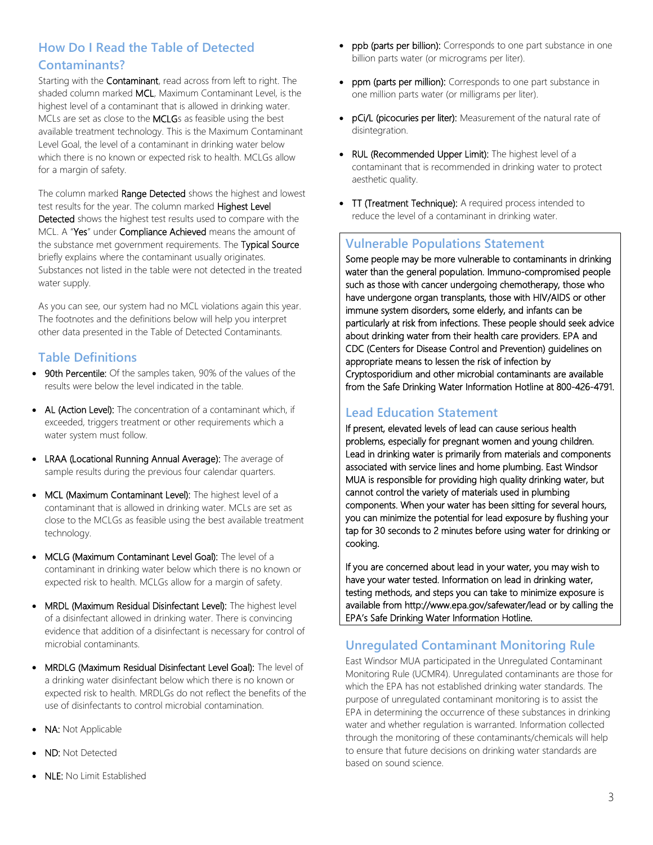## **How Do I Read the Table of Detected Contaminants?**

Starting with the **Contaminant**, read across from left to right. The shaded column marked MCL, Maximum Contaminant Level, is the highest level of a contaminant that is allowed in drinking water. MCLs are set as close to the MCLGs as feasible using the best available treatment technology. This is the Maximum Contaminant Level Goal, the level of a contaminant in drinking water below which there is no known or expected risk to health. MCLGs allow for a margin of safety.

The column marked Range Detected shows the highest and lowest test results for the year. The column marked Highest Level Detected shows the highest test results used to compare with the MCL. A "Yes" under Compliance Achieved means the amount of the substance met government requirements. The Typical Source briefly explains where the contaminant usually originates. Substances not listed in the table were not detected in the treated water supply.

As you can see, our system had no MCL violations again this year. The footnotes and the definitions below will help you interpret other data presented in the Table of Detected Contaminants.

## **Table Definitions**

- 90th Percentile: Of the samples taken, 90% of the values of the results were below the level indicated in the table.
- AL (Action Level): The concentration of a contaminant which, if exceeded, triggers treatment or other requirements which a water system must follow.
- LRAA (Locational Running Annual Average): The average of sample results during the previous four calendar quarters.
- MCL (Maximum Contaminant Level): The highest level of a contaminant that is allowed in drinking water. MCLs are set as close to the MCLGs as feasible using the best available treatment technology.
- MCLG (Maximum Contaminant Level Goal): The level of a contaminant in drinking water below which there is no known or expected risk to health. MCLGs allow for a margin of safety.
- MRDL (Maximum Residual Disinfectant Level): The highest level of a disinfectant allowed in drinking water. There is convincing evidence that addition of a disinfectant is necessary for control of microbial contaminants.
- MRDLG (Maximum Residual Disinfectant Level Goal): The level of a drinking water disinfectant below which there is no known or expected risk to health. MRDLGs do not reflect the benefits of the use of disinfectants to control microbial contamination.
- NA: Not Applicable
- ND: Not Detected
- NLE: No Limit Established
- ppb (parts per billion): Corresponds to one part substance in one billion parts water (or micrograms per liter).
- ppm (parts per million): Corresponds to one part substance in one million parts water (or milligrams per liter).
- pCi/L (picocuries per liter): Measurement of the natural rate of disintegration.
- RUL (Recommended Upper Limit): The highest level of a contaminant that is recommended in drinking water to protect aesthetic quality.
- TT (Treatment Technique): A required process intended to reduce the level of a contaminant in drinking water.

## **Vulnerable Populations Statement**

Some people may be more vulnerable to contaminants in drinking water than the general population. Immuno-compromised people such as those with cancer undergoing chemotherapy, those who have undergone organ transplants, those with HIV/AIDS or other immune system disorders, some elderly, and infants can be particularly at risk from infections. These people should seek advice about drinking water from their health care providers. EPA and CDC (Centers for Disease Control and Prevention) guidelines on appropriate means to lessen the risk of infection by Cryptosporidium and other microbial contaminants are available from the Safe Drinking Water Information Hotline at 800-426-4791.

## **Lead Education Statement**

If present, elevated levels of lead can cause serious health problems, especially for pregnant women and young children. Lead in drinking water is primarily from materials and components associated with service lines and home plumbing. East Windsor MUA is responsible for providing high quality drinking water, but cannot control the variety of materials used in plumbing components. When your water has been sitting for several hours, you can minimize the potential for lead exposure by flushing your tap for 30 seconds to 2 minutes before using water for drinking or cooking.

If you are concerned about lead in your water, you may wish to have your water tested. Information on lead in drinking water, testing methods, and steps you can take to minimize exposure is available fro[m http://www.epa.gov/safewater/lead](file:///C:/Documents%20and%20Settings/slovejoy/Belmar/water%20plant/CCR/2013%20CCR/%20http:/--www.epa.gov-safewater-lead) or by calling the EPA's Safe Drinking Water Information Hotline.

## **Unregulated Contaminant Monitoring Rule**

East Windsor MUA participated in the Unregulated Contaminant Monitoring Rule (UCMR4). Unregulated contaminants are those for which the EPA has not established drinking water standards. The purpose of unregulated contaminant monitoring is to assist the EPA in determining the occurrence of these substances in drinking water and whether regulation is warranted. Information collected through the monitoring of these contaminants/chemicals will help to ensure that future decisions on drinking water standards are based on sound science.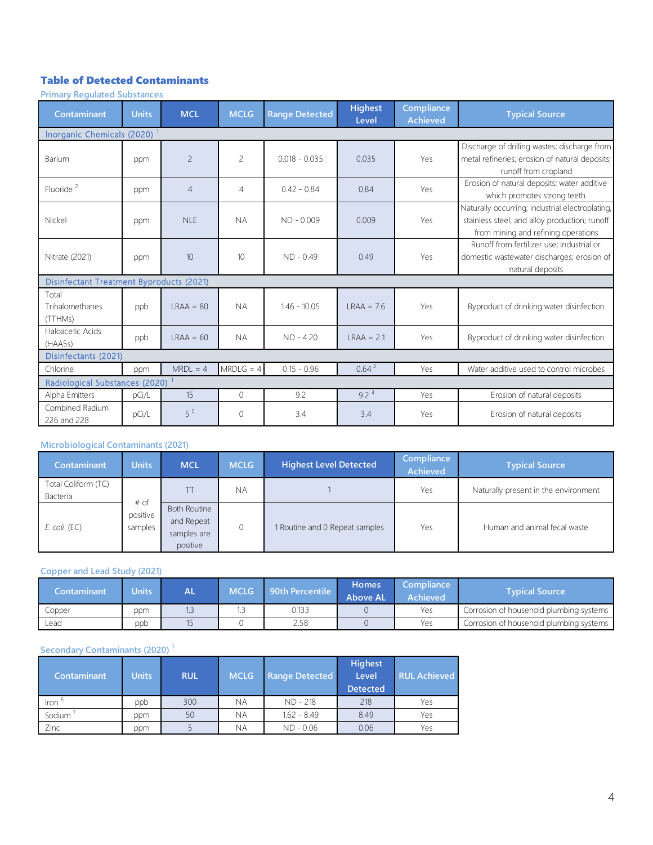## Table of Detected Contaminants

**Primary Regulated Substances**

| Contaminant                                     | <b>Units</b> | <b>MCL</b>     | <b>MCLG</b>    | <b>Range Detected</b> | <b>Highest</b><br>Level | Compliance<br><b>Achieved</b> | <b>Typical Source</b>                                                                                                                   |
|-------------------------------------------------|--------------|----------------|----------------|-----------------------|-------------------------|-------------------------------|-----------------------------------------------------------------------------------------------------------------------------------------|
| Inorganic Chemicals (2020) <sup>1</sup>         |              |                |                |                       |                         |                               |                                                                                                                                         |
| Barium                                          | ppm          | $\overline{c}$ | $\overline{c}$ | $0.018 - 0.035$       | 0.035                   | Yes                           | Discharge of drilling wastes; discharge from<br>metal refineries; erosion of natural deposits;<br>runoff from cropland                  |
| Fluoride <sup>2</sup>                           | ppm          | $\overline{4}$ | $\overline{4}$ | $0.42 - 0.84$         | 0.84                    | Yes                           | Erosion of natural deposits; water additive<br>which promotes strong teeth                                                              |
| Nickel                                          | ppm          | NIF            | <b>NA</b>      | $ND - 0.009$          | 0.009                   | Yes                           | Naturally occurring; industrial electroplating,<br>stainless steel, and alloy production; runoff<br>from mining and refining operations |
| Nitrate (2021)                                  | ppm          | 10             | 10             | $ND - 0.49$           | 0.49                    | Yes                           | Runoff from fertilizer use; industrial or<br>domestic wastewater discharges; erosion of<br>natural deposits                             |
| <b>Disinfectant Treatment Byproducts (2021)</b> |              |                |                |                       |                         |                               |                                                                                                                                         |
| Total<br>Trihalomethanes<br>(TTHMs)             | ppb          | $IRAA = 80$    | <b>NA</b>      | $1.46 - 10.05$        | $IRAA = 7.6$            | Yes                           | Byproduct of drinking water disinfection                                                                                                |
| Haloacetic Acids<br>(HAA5s)                     | ppb          | $IRAA = 60$    | <b>NA</b>      | $ND - 4.20$           | $IRAA = 2.1$            | Yes                           | Byproduct of drinking water disinfection                                                                                                |
| Disinfectants (2021)                            |              |                |                |                       |                         |                               |                                                                                                                                         |
| Chlorine                                        | ppm          | $MRDL = 4$     | $MRDLG = 4$    | $0.15 - 0.96$         | 0.64 <sup>3</sup>       | Yes                           | Water additive used to control microbes                                                                                                 |
| Radiological Substances (2020)                  |              |                |                |                       |                         |                               |                                                                                                                                         |
| Alpha Emitters                                  | pCi/L        | 15             | $\Omega$       | 9.2                   | $9.2^4$                 | Yes                           | Erosion of natural deposits                                                                                                             |
| Combined Radium<br>226 and 228                  | pCi/L        | $5^5$          | $\mathbf{0}$   | 3.4                   | 3.4                     | Yes                           | Erosion of natural deposits                                                                                                             |

#### **Microbiological Contaminants (2021)**

| 226 and 228                                |                     |                                                              |             |                                |                               |                                      |
|--------------------------------------------|---------------------|--------------------------------------------------------------|-------------|--------------------------------|-------------------------------|--------------------------------------|
| <b>Microbiological Contaminants (2021)</b> |                     |                                                              |             |                                |                               |                                      |
| Contaminant                                | <b>Units</b>        | <b>MCL</b>                                                   | <b>MCLG</b> | <b>Highest Level Detected</b>  | Compliance<br><b>Achieved</b> | <b>Typical Source</b>                |
| Total Coliform (TC)<br>Bacteria            | $#$ of              |                                                              | <b>NA</b>   |                                | Yes                           | Naturally present in the environment |
| $E.$ coli $(EC)$                           | positive<br>samples | <b>Both Routine</b><br>and Repeat<br>samples are<br>positive | 0           | 1 Routine and 0 Repeat samples | Yes                           | Human and animal fecal waste         |

#### **Copper and Lead Study (2021)**

| Contaminant | <b>Jnits</b> | AL | <b>MCLG</b> | <b>90th Percentile</b> | <b>Homes</b><br><b>Above AL</b> | Compliance<br>Achieved . | <b>Typical Source</b>                   |
|-------------|--------------|----|-------------|------------------------|---------------------------------|--------------------------|-----------------------------------------|
| Copper      | ppm          |    |             | 0.133                  |                                 | Yes                      | Corrosion of household plumbing systems |
| Lead        | ppb          |    |             | 2.58                   |                                 | Yes                      | Corrosion of household plumbing systems |

#### **Secondary Contaminants (2020) <sup>1</sup>**

| Secondary Contaminants (2020) <sup>1</sup> |              |            |             |                       |                                            |                     |  |  |  |
|--------------------------------------------|--------------|------------|-------------|-----------------------|--------------------------------------------|---------------------|--|--|--|
| <b>Contaminant</b>                         | <b>Units</b> | <b>RUL</b> | <b>MCLG</b> | <b>Range Detected</b> | <b>Highest</b><br>Level<br><b>Detected</b> | <b>RUL Achieved</b> |  |  |  |
| $\text{iron}$ <sup>6</sup>                 | ppb          | 300        | ΝA          | ND - 218              | 218                                        | Yes                 |  |  |  |
| Sodium <sup>'</sup>                        | ppm          | 50         | <b>NA</b>   | $1.62 - 8.49$         | 8.49                                       | Yes                 |  |  |  |
| Zinc                                       | ppm          |            | <b>NA</b>   | $ND - 0.06$           | 0.06                                       | Yes                 |  |  |  |
|                                            |              |            |             |                       |                                            |                     |  |  |  |